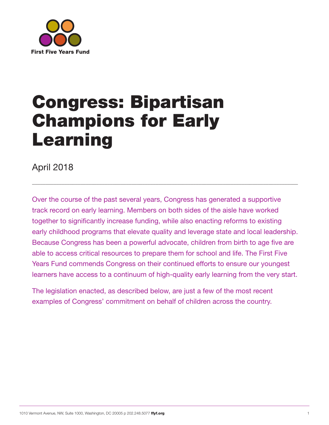

# Congress: Bipartisan Champions for Early Learning

April 2018

Over the course of the past several years, Congress has generated a supportive track record on early learning. Members on both sides of the aisle have worked together to significantly increase funding, while also enacting reforms to existing early childhood programs that elevate quality and leverage state and local leadership. Because Congress has been a powerful advocate, children from birth to age five are able to access critical resources to prepare them for school and life. The First Five Years Fund commends Congress on their continued efforts to ensure our youngest learners have access to a continuum of high-quality early learning from the very start.

 $\_$  , and the set of the set of the set of the set of the set of the set of the set of the set of the set of the set of the set of the set of the set of the set of the set of the set of the set of the set of the set of th

The legislation enacted, as described below, are just a few of the most recent examples of Congress' commitment on behalf of children across the country.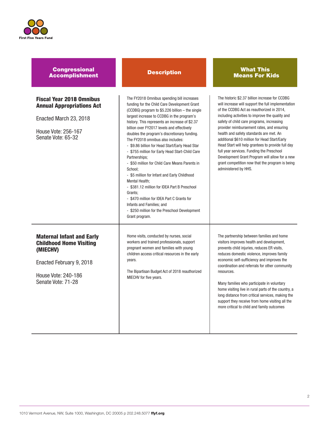

| <b>Congressional</b><br><b>Accomplishment</b>                                                                                                           | <b>Description</b>                                                                                                                                                                                                                                                                                                                                                                                                                                                                                                                                                                                                                                                                                                                                                                                                                              | <b>What This</b><br><b>Means For Kids</b>                                                                                                                                                                                                                                                                                                                                                                                                                                                                                                                                                                                  |
|---------------------------------------------------------------------------------------------------------------------------------------------------------|-------------------------------------------------------------------------------------------------------------------------------------------------------------------------------------------------------------------------------------------------------------------------------------------------------------------------------------------------------------------------------------------------------------------------------------------------------------------------------------------------------------------------------------------------------------------------------------------------------------------------------------------------------------------------------------------------------------------------------------------------------------------------------------------------------------------------------------------------|----------------------------------------------------------------------------------------------------------------------------------------------------------------------------------------------------------------------------------------------------------------------------------------------------------------------------------------------------------------------------------------------------------------------------------------------------------------------------------------------------------------------------------------------------------------------------------------------------------------------------|
| <b>Fiscal Year 2018 Omnibus</b><br><b>Annual Appropriations Act</b><br>Enacted March 23, 2018<br>House Vote: 256-167<br>Senate Vote: 65-32              | The FY2018 Omnibus spending bill increases<br>funding for the Child Care Development Grant<br>(CCDBG) program to \$5.226 billion – the single<br>largest increase to CCDBG in the program's<br>history. This represents an increase of \$2.37<br>billion over FY2017 levels and effectively<br>doubles the program's discretionary funding.<br>The FY2018 omnibus also includes:<br>- \$9.86 billion for Head Start/Early Head Star<br>- \$755 million for Early Head Start-Child Care<br>Partnerships;<br>- \$50 million for Child Care Means Parents in<br>School;<br>- \$5 million for Infant and Early Childhood<br>Mental Health;<br>- \$381.12 million for IDEA Part B Preschool<br>Grants:<br>- \$470 million for IDEA Part C Grants for<br>Infants and Families; and<br>- \$250 million for the Preschool Development<br>Grant program. | The historic \$2.37 billion increase for CCDBG<br>will increase will support the full implementation<br>of the CCDBG Act as reauthorized in 2014,<br>including activities to improve the quality and<br>safety of child care programs, increasing<br>provider reimbursement rates, and ensuring<br>health and safety standards are met. An<br>additional \$610 million for Head Start/Early<br>Head Start will help grantees to provide full day<br>full year services. Funding the Preschool<br>Development Grant Program will allow for a new<br>grant competition now that the program is being<br>administered by HHS. |
| <b>Maternal Infant and Early</b><br><b>Childhood Home Visiting</b><br>(MIECHV)<br>Enacted February 9, 2018<br>House Vote: 240-186<br>Senate Vote: 71-28 | Home visits, conducted by nurses, social<br>workers and trained professionals, support<br>pregnant women and families with young<br>children access critical resources in the early<br>years.<br>The Bipartisan Budget Act of 2018 reauthorized<br>MIECHV for five years.                                                                                                                                                                                                                                                                                                                                                                                                                                                                                                                                                                       | The partnership between families and home<br>visitors improves health and development,<br>prevents child injuries, reduces ER visits,<br>reduces domestic violence, improves family<br>economic self-sufficiency and improves the<br>coordination and referrals for other community<br>resources.<br>Many families who participate in voluntary<br>home visiting live in rural parts of the country, a<br>long distance from critical services, making the<br>support they receive from home visiting all the<br>more critical to child and family outcomes                                                                |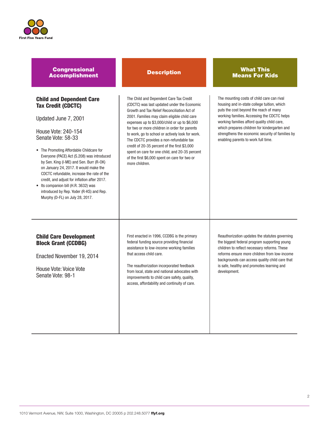

## **Congressional** Accomplishment Description What This

## Child and Dependent Care Tax Credit (CDCTC)

Updated June 7, 2001

House Vote: 240-154 Senate Vote: 58-33

- The Promoting Affordable Childcare for Everyone (PACE) Act (S.208) was introduced by Sen. King (I-ME) and Sen. Burr (R-OK) on January 24, 2017. It would make the CDCTC refundable, increase the rate of the credit, and adjust for inflation after 2017.
- Its companion bill (H.R. 3632) was introduced by Rep. Yoder (R-KS) and Rep. Murphy (D-FL) on July 28, 2017.

The Child and Dependent Care Tax Credit (CDCTC) was last updated under the Economic Growth and Tax Relief Reconciliation Act of 2001. Families may claim eligible child care expenses up to \$3,000/child or up to \$6,000 for two or more children in order for parents to work, go to school or actively look for work. The CDCTC provides a non-refundable tax credit of 20-35 percent of the first \$3,000 spent on care for one child, and 20-35 percent of the first \$6,000 spent on care for two or more children.

## Means For Kids

The mounting costs of child care can rival housing and in-state college tuition, which puts the cost beyond the reach of many working families. Accessing the CDCTC helps working families afford quality child care, which prepares children for kindergarten and strengthens the economic security of families by enabling parents to work full time.

## Child Care Development Block Grant (CCDBG)

Enacted November 19, 2014

House Vote: Voice Vote Senate Vote: 98-1

First enacted in 1996, CCDBG is the primary federal funding source providing financial assistance to low-income working families that access child care.

The reauthorization incorporated feedback from local, state and national advocates with improvements to child care safety, quality, access, affordability and continuity of care.

Reauthorization updates the statutes governing the biggest federal program supporting young children to reflect necessary reforms. These reforms ensure more children from low-income backgrounds can access quality child care that is safe, healthy and promotes learning and development.